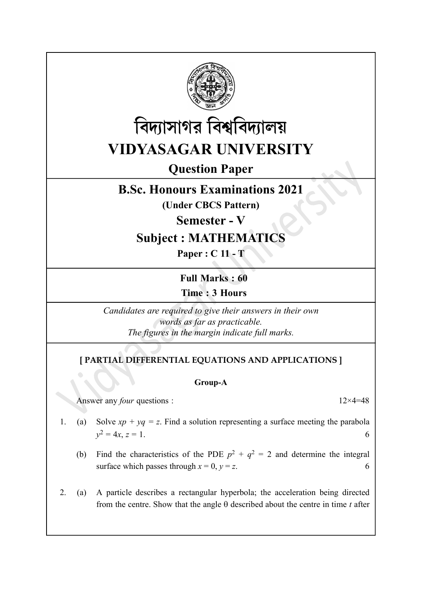



# Question Paper

## B.Sc. Honours Examinations 2021

(Under CBCS Pattern)

Semester - V

# Subject : MATHEMATICS

Paper : C 11 - T

Full Marks : 60 Time : 3 Hours

Candidates are required to give their answers in their own words as far as practicable. The figures in the margin indicate full marks.

### [ PARTIAL DIFFERENTIAL EQUATIONS AND APPLICATIONS ]

#### Group-A

Answer any *four* questions : 12×4=48

- 1. (a) Solve  $xp + yq = z$ . Find a solution representing a surface meeting the parabola  $y^2 = 4x, z = 1.$  6
	- (b) Find the characteristics of the PDE  $p^2 + q^2 = 2$  and determine the integral surface which passes through  $x = 0$ ,  $y = z$ . 6
- 2. (a) A particle describes a rectangular hyperbola; the acceleration being directed from the centre. Show that the angle  $\theta$  described about the centre in time t after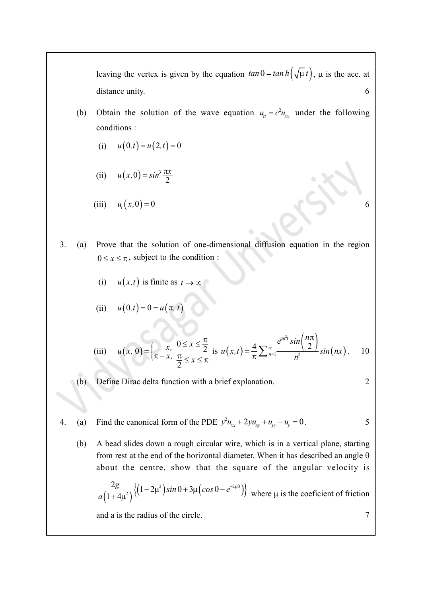leaving the vertex is given by the equation  $tan \theta = tan h(\sqrt{\mu} t)$ ,  $\mu$  is the acc. at distance unity. 6 leaving the vertex is given by the equation  $\tan \theta = \tan h(\sqrt{\mu}t)$ ,  $\mu$  is the acc. at<br>distance unity.<br>Obtain the solution of the wave equation  $u_n = c^2 u_n$  under the following<br>conditions:<br>(i)  $u(0,t) = u(2,t) = 0$ <br>(ii)  $u(x,0) = \sin^3 \$ 

- (b) Obtain the solution of the wave equation  $u_{tt} = c^2 u_{xx}$  under the following conditions :
	- (i)  $u(0,t) = u(2,t) = 0$
	- 2  $u(x, 0) = \sin^3 \frac{\pi x}{2}$
	- (iii)  $u_t(x,0) = 0$  6
- 3. (a) Prove that the solution of one-dimensional diffusion equation in the region  $0 \le x \le \pi$ , subject to the condition :
	- (i)  $u(x,t)$  is finite as  $t \to \infty$

(ii) 
$$
u(0,t) = 0 = u(\pi, t)
$$

(ii) 
$$
u(x, 0) = \sin^3 \frac{\pi x}{2}
$$
  
\n(iii)  $u_t(x, 0) = 0$   
\nProve that the solution of one-dimensional diffusion equation in the region  
\n $0 \le x \le \pi$ , subject to the condition:  
\n(i)  $u(x,t)$  is finite as  $t \to \infty$   
\n(ii)  $u(0,t) = 0 = u(\pi, t)$   
\n(iii)  $u(x, 0) = \begin{cases} x, & 0 \le x \le \frac{\pi}{2} \\ \pi - x, & \frac{\pi}{2} \le x \le \pi \end{cases}$  is  $u(x,t) = \frac{4}{\pi} \sum_{n=1}^{\infty} \frac{e^{ax^2} \sin\left(\frac{n\pi}{2}\right)}{n^2} \sin(nx)$ . 10  
\nDefine Dirac delta function with a brief explanation.  
\nFind the canonical form of the PDE  $y^2 u_{xx} + 2yu_{xy} + u_{yy} - u_y = 0$ .  
\nA bead slides down a rough circular wire, which is in a vertical plane, starting from rest at the end of the horizontal diameter. When it has described an angle  $\theta$   
\nabout the centre, show that the square of the angular velocity is  
\n
$$
\frac{2g}{a(1+4\mu^2)}\{(1-2\mu^2)\sin\theta + 3\mu(\cos\theta - e^{-2\mu\theta})\} \text{ where } \mu \text{ is the coefficient of friction and a is the radius of the circle.}
$$

(b) Define Dirac delta function with a brief explanation.

$$
\overline{2}
$$

- 4. (a) Find the canonical form of the PDE  $y^2 u_{xx} + 2 y u_{xy} + u_{yy} u_y = 0$ . 5
	- (b) A bead slides down a rough circular wire, which is in a vertical plane, starting from rest at the end of the horizontal diameter. When it has described an angle  $\theta$ about the centre, show that the square of the angular velocity is

$$
\frac{2g}{a(1+4\mu^2)}\Big\{\Big(1-2\mu^2\Big)\sin\theta+3\mu\Big(\cos\theta-e^{-2\mu\theta}\Big)\Big\}\quad\text{where }\mu\text{ is the coefficient of friction}
$$

and a is the radius of the circle. 7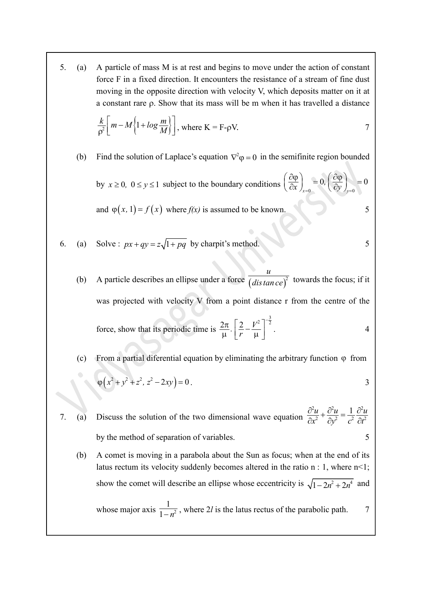5. (a) A particle of mass M is at rest and begins to move under the action of constant force F in a fixed direction. It encounters the resistance of a stream of fine dust moving in the opposite direction with velocity V, which deposits matter on it at a constant rare  $\rho$ . Show that its mass will be m when it has travelled a distance

$$
\frac{k}{\rho^2} \left[ m - M \left\{ 1 + \log \frac{m}{M} \right\} \right], \text{ where } K = F - \rho V. \tag{7}
$$

(b) Find the solution of Laplace's equation  $\nabla^2 \varphi = 0$  in the semifinite region bounded

by  $x \ge 0$ ,  $0 \le y \le 1$  subject to the boundary conditions  $\left(\frac{\partial \phi}{\partial x}\right)_{x=0} = 0$ ,  $\left(\frac{\partial \phi}{\partial y}\right)_{y=0}$  $0, \left(\frac{\partial \varphi}{\partial x}\right) = 0$  $\left(\frac{\partial \varphi}{\partial x}\right)_{x=0} = 0, \left(\frac{\partial \varphi}{\partial y}\right)_{y=0} = 0$  $\frac{\partial \phi}{\partial x}\Big|_{x=0} = 0, \left(\frac{\partial \phi}{\partial y}\right),$ and  $\varphi(x, 1) = f(x)$  where  $f(x)$  is assumed to be known. 5

- 6. (a) Solve :  $px + qy = z\sqrt{1 + pq}$  by charpit's method. 5
- a constant rare  $\rho$ . Show that its mass will be m when it has travelled a distance<br>  $\frac{k}{\rho^2} \left[ m M \left\{ 1 + \log \frac{m}{M} \right\} \right]$ , where  $K = F \rho V$ .<br>
(b) Find the solution of Laplace's equation  $\nabla^2 \phi = 0$  in the semifinite r u  $\overline{distance)}^2$  towards the focus; if it was projected with velocity V from a point distance r from the centre of the force, show that its periodic time is  $\frac{2\pi}{\mu}$ .  $\left|\frac{2}{r} - \frac{V}{\mu}\right|$  $\frac{\pi}{2}$ .  $\left[2-\frac{V^2}{2}\right]^{-\frac{3}{2}}$  $\frac{2\pi}{\mu}$ .  $\left[\frac{2}{r} - \frac{r}{\mu}\right]$  $\frac{2\pi}{\mu} \left[ \frac{2}{\pi} - \frac{V^2}{\mu} \right]^{-\frac{3}{2}}$  4
	- (c) From a partial diferential equation by eliminating the arbitrary function  $\varphi$  from  $\varphi\left(x^2 + y^2 + z^2, z^2 - 2xy\right) = 0.$  3
- 7. (a) Discuss the solution of the two dimensional wave equation  $x^2$   $x^2$   $x^2$   $x^2$  $\frac{\partial^2 u}{\partial x^2} + \frac{\partial^2 u}{\partial y^2} = \frac{1}{a^2} \frac{\partial^2 u}{\partial x^2}$  $\overline{\partial x^2} + \overline{\partial y^2} = \overline{c^2} \overline{\partial t^2}$  $u_{\perp} \frac{\partial^2 u}{\partial x^2} - \frac{1}{2} \frac{\partial^2 u}{\partial y^2}$  $\sqrt{x^2 + \frac{\partial y^2}{\partial y^2}} - \frac{\partial z}{\partial t^2}$ by the method of separation of variables. 5

(b) A comet is moving in a parabola about the Sun as focus; when at the end of its latus rectum its velocity suddenly becomes altered in the ratio n : 1, where n<1; show the comet will describe an ellipse whose eccentricity is  $\sqrt{1 - 2n^2 + 2n^4}$  and

whose major axis  $\frac{1}{1-x^2}$  $\frac{1}{1-n^2}$ , where 2l is the latus rectus of the parabolic path. 7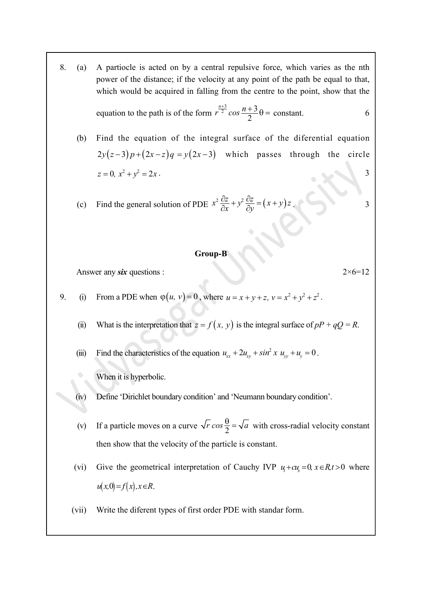8. (a) A partiocle is acted on by a central repulsive force, which varies as the nth power of the distance; if the velocity at any point of the path be equal to that, which would be acquired in falling from the centre to the point, show that the

equation to the path is of the form 
$$
r^{\frac{n+3}{2}} \cos \frac{n+3}{2} \theta = \text{constant.}
$$

(b) Find the equation of the integral surface of the diferential equation  $2y(z-3)p+(2x-z)q = y(2x-3)$  which passes through the circle  $z = 0, x^2 + y^2 = 2x$ . (a) A particole is acted on by a central repulsive force, which varies as the nth<br>power of the distance; if the velocity at any point of the path be equal to that,<br>which would be acquired in falling from the centre to the

(c) Find the general solution of PDE 
$$
x^2 \frac{\partial z}{\partial x} + y^2 \frac{\partial z}{\partial y} = (x + y)z
$$
.

### Group-B

Answer any six questions :  $2 \times 6 = 12$ 

- 9. (i) From a PDE when  $\varphi(u, v) = 0$ , where  $u = x + y + z$ ,  $v = x^2 + y^2 + z^2$ .
	- (ii) What is the interpretation that  $z = f(x, y)$  is the integral surface of  $pP + qQ = R$ .

(iii) Find the characteristics of the equation  $u_{xx} + 2u_{xy} + \sin^2 x u_{yy} + u_y = 0$ .

When it is hyperbolic.

- (iv) Define 'Dirichlet boundary condition' and 'Neumann boundary condition'.
- (v) If a particle moves on a curve  $\sqrt{r} \cos \frac{\theta}{2} = \sqrt{a}$  with cross-radial velocity constant then show that the velocity of the particle is constant.
- (vi) Give the geometrical interpretation of Cauchy IVP  $u + cu = 0$ ,  $x \in R$ ,  $t > 0$  where  $u(x, 0) = f(x), x \in R$ .
- (vii) Write the diferent types of first order PDE with standar form.